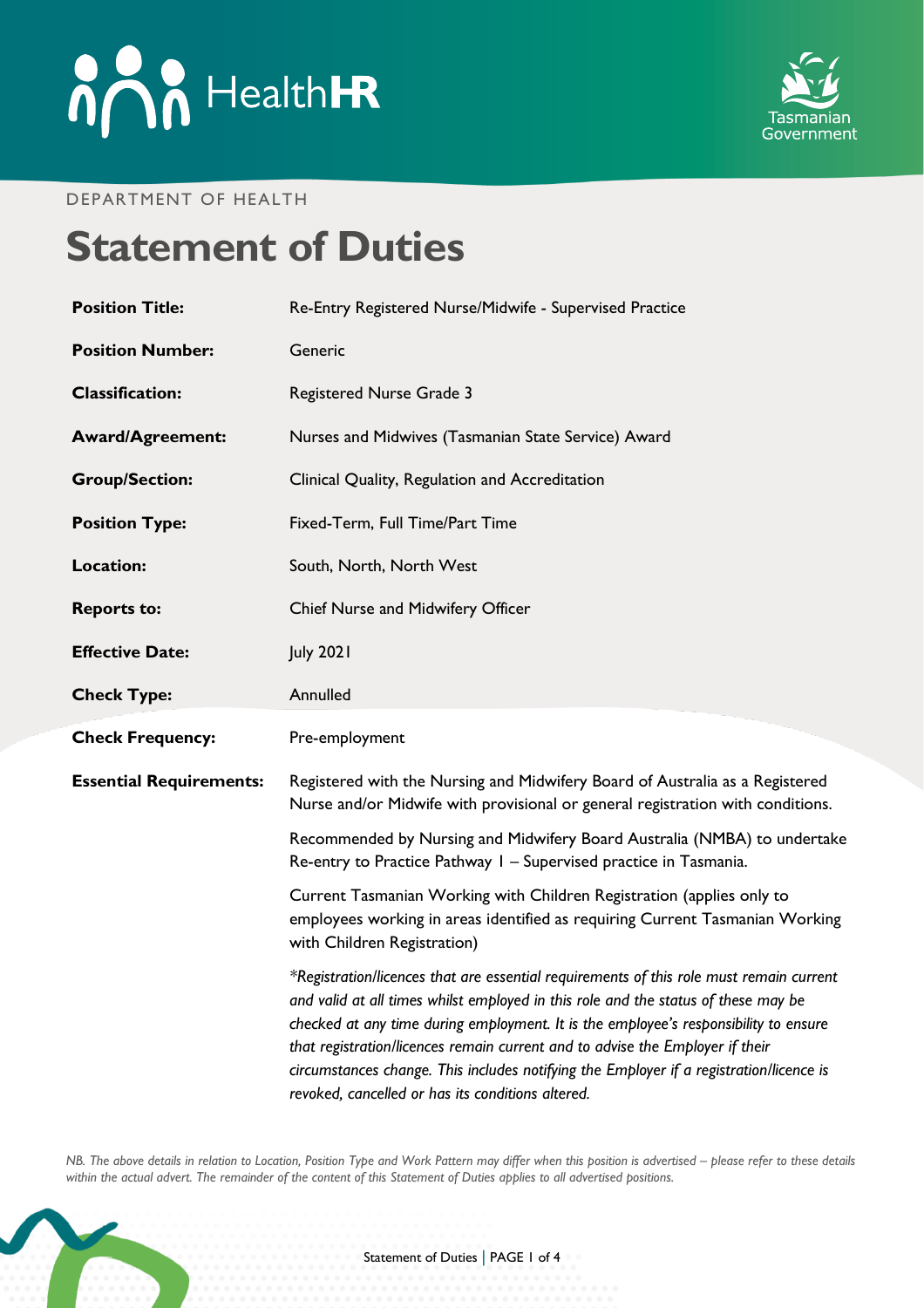# **And HealthER**



#### DEPARTMENT OF HEALTH

## **Statement of Duties**

| <b>Position Title:</b>         | Re-Entry Registered Nurse/Midwife - Supervised Practice                                                                                                                                                                                                                                                                                                                                                                                                                                                |
|--------------------------------|--------------------------------------------------------------------------------------------------------------------------------------------------------------------------------------------------------------------------------------------------------------------------------------------------------------------------------------------------------------------------------------------------------------------------------------------------------------------------------------------------------|
| <b>Position Number:</b>        | Generic                                                                                                                                                                                                                                                                                                                                                                                                                                                                                                |
| <b>Classification:</b>         | Registered Nurse Grade 3                                                                                                                                                                                                                                                                                                                                                                                                                                                                               |
| <b>Award/Agreement:</b>        | Nurses and Midwives (Tasmanian State Service) Award                                                                                                                                                                                                                                                                                                                                                                                                                                                    |
| <b>Group/Section:</b>          | Clinical Quality, Regulation and Accreditation                                                                                                                                                                                                                                                                                                                                                                                                                                                         |
| <b>Position Type:</b>          | Fixed-Term, Full Time/Part Time                                                                                                                                                                                                                                                                                                                                                                                                                                                                        |
| Location:                      | South, North, North West                                                                                                                                                                                                                                                                                                                                                                                                                                                                               |
| <b>Reports to:</b>             | Chief Nurse and Midwifery Officer                                                                                                                                                                                                                                                                                                                                                                                                                                                                      |
| <b>Effective Date:</b>         | <b>July 2021</b>                                                                                                                                                                                                                                                                                                                                                                                                                                                                                       |
| <b>Check Type:</b>             | Annulled                                                                                                                                                                                                                                                                                                                                                                                                                                                                                               |
| <b>Check Frequency:</b>        | Pre-employment                                                                                                                                                                                                                                                                                                                                                                                                                                                                                         |
| <b>Essential Requirements:</b> | Registered with the Nursing and Midwifery Board of Australia as a Registered<br>Nurse and/or Midwife with provisional or general registration with conditions.                                                                                                                                                                                                                                                                                                                                         |
|                                | Recommended by Nursing and Midwifery Board Australia (NMBA) to undertake<br>Re-entry to Practice Pathway I - Supervised practice in Tasmania.                                                                                                                                                                                                                                                                                                                                                          |
|                                | Current Tasmanian Working with Children Registration (applies only to<br>employees working in areas identified as requiring Current Tasmanian Working<br>with Children Registration)                                                                                                                                                                                                                                                                                                                   |
|                                | *Registration/licences that are essential requirements of this role must remain current<br>and valid at all times whilst employed in this role and the status of these may be<br>checked at any time during employment. It is the employee's responsibility to ensure<br>that registration/licences remain current and to advise the Employer if their<br>circumstances change. This includes notifying the Employer if a registration/licence is<br>revoked, cancelled or has its conditions altered. |

*NB. The above details in relation to Location, Position Type and Work Pattern may differ when this position is advertised - please refer to these details within the actual advert. The remainder of the content of this Statement of Duties applies to all advertised positions.*

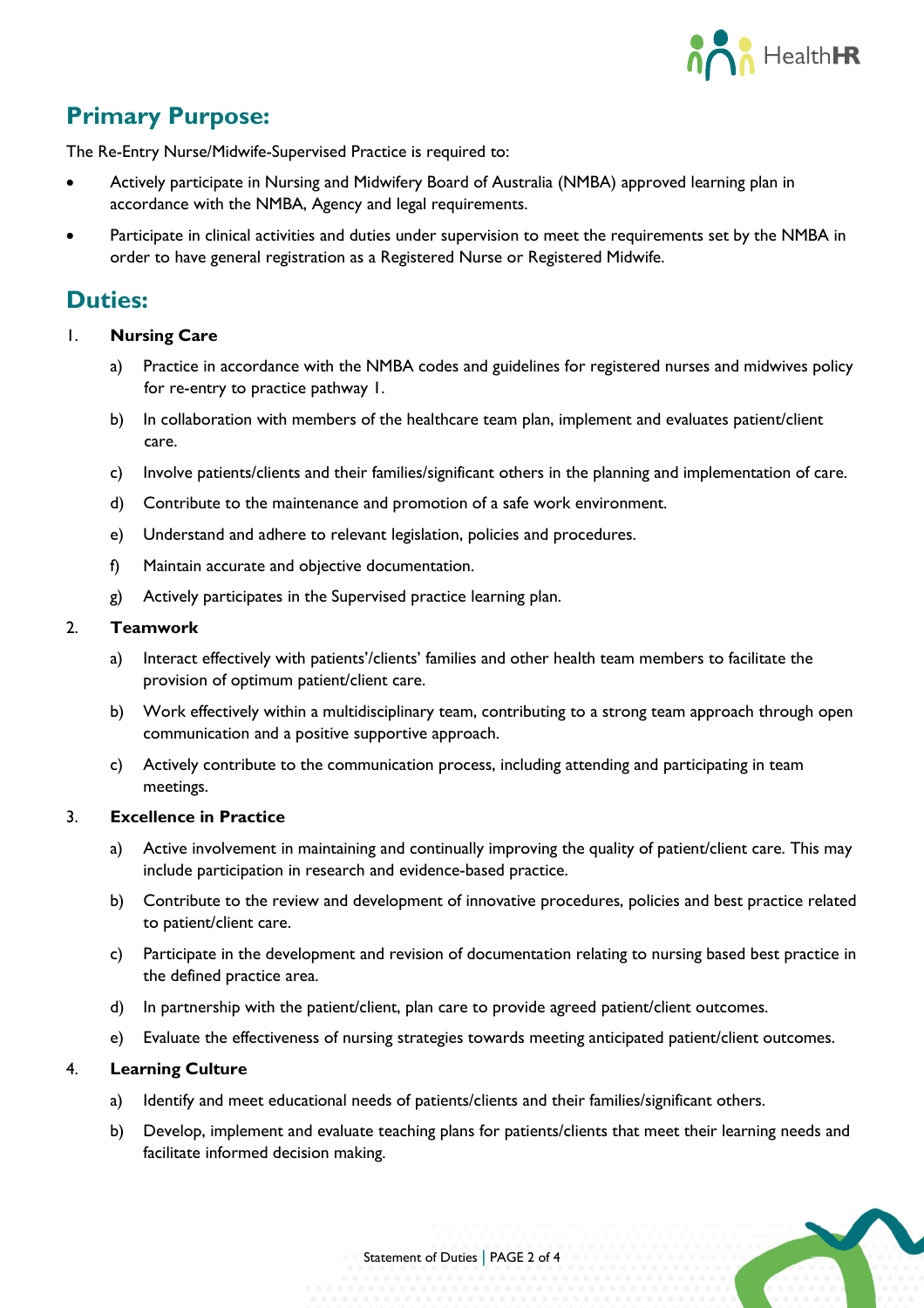

## **Primary Purpose:**

The Re-Entry Nurse/Midwife-Supervised Practice is required to:

- Actively participate in Nursing and Midwifery Board of Australia (NMBA) approved learning plan in accordance with the NMBA, Agency and legal requirements.
- Participate in clinical activities and duties under supervision to meet the requirements set by the NMBA in order to have general registration as a Registered Nurse or Registered Midwife.

### **Duties:**

- 1. **Nursing Care**
	- a) Practice in accordance with the NMBA codes and guidelines for registered nurses and midwives policy for re-entry to practice pathway 1.
	- b) In collaboration with members of the healthcare team plan, implement and evaluates patient/client care.
	- c) Involve patients/clients and their families/significant others in the planning and implementation of care.
	- d) Contribute to the maintenance and promotion of a safe work environment.
	- e) Understand and adhere to relevant legislation, policies and procedures.
	- f) Maintain accurate and objective documentation.
	- g) Actively participates in the Supervised practice learning plan.

#### 2. **Teamwork**

- a) Interact effectively with patients'/clients' families and other health team members to facilitate the provision of optimum patient/client care.
- b) Work effectively within a multidisciplinary team, contributing to a strong team approach through open communication and a positive supportive approach.
- c) Actively contribute to the communication process, including attending and participating in team meetings.

#### 3. **Excellence in Practice**

- a) Active involvement in maintaining and continually improving the quality of patient/client care. This may include participation in research and evidence-based practice.
- b) Contribute to the review and development of innovative procedures, policies and best practice related to patient/client care.
- c) Participate in the development and revision of documentation relating to nursing based best practice in the defined practice area.
- d) In partnership with the patient/client, plan care to provide agreed patient/client outcomes.
- e) Evaluate the effectiveness of nursing strategies towards meeting anticipated patient/client outcomes.

#### 4. **Learning Culture**

- a) Identify and meet educational needs of patients/clients and their families/significant others.
- b) Develop, implement and evaluate teaching plans for patients/clients that meet their learning needs and facilitate informed decision making.

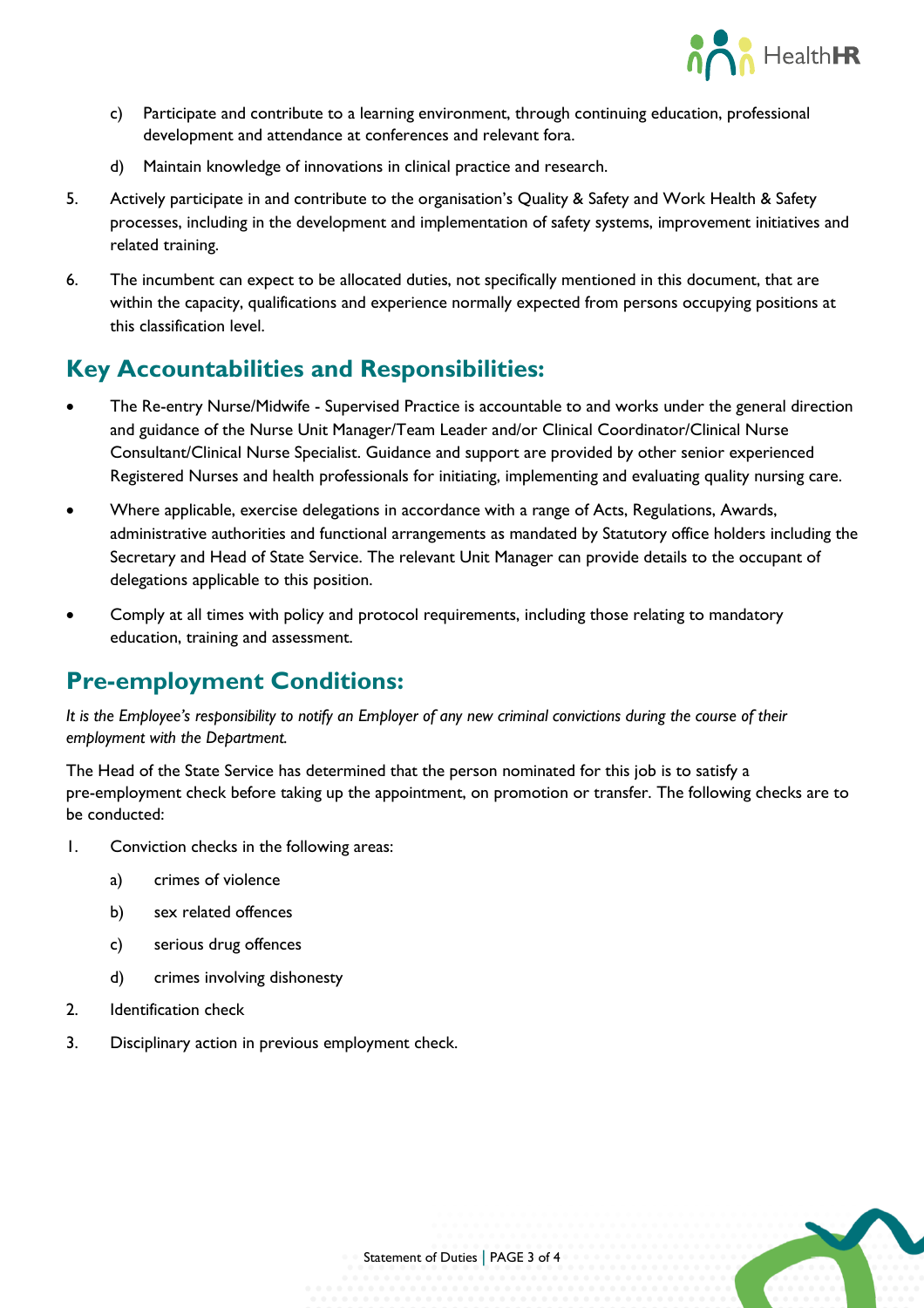

- c) Participate and contribute to a learning environment, through continuing education, professional development and attendance at conferences and relevant fora.
- d) Maintain knowledge of innovations in clinical practice and research.
- 5. Actively participate in and contribute to the organisation's Quality & Safety and Work Health & Safety processes, including in the development and implementation of safety systems, improvement initiatives and related training.
- 6. The incumbent can expect to be allocated duties, not specifically mentioned in this document, that are within the capacity, qualifications and experience normally expected from persons occupying positions at this classification level.

## **Key Accountabilities and Responsibilities:**

- The Re-entry Nurse/Midwife Supervised Practice is accountable to and works under the general direction and guidance of the Nurse Unit Manager/Team Leader and/or Clinical Coordinator/Clinical Nurse Consultant/Clinical Nurse Specialist. Guidance and support are provided by other senior experienced Registered Nurses and health professionals for initiating, implementing and evaluating quality nursing care.
- Where applicable, exercise delegations in accordance with a range of Acts, Regulations, Awards, administrative authorities and functional arrangements as mandated by Statutory office holders including the Secretary and Head of State Service. The relevant Unit Manager can provide details to the occupant of delegations applicable to this position.
- Comply at all times with policy and protocol requirements, including those relating to mandatory education, training and assessment.

## **Pre-employment Conditions:**

*It is the Employee's responsibility to notify an Employer of any new criminal convictions during the course of their employment with the Department.*

The Head of the State Service has determined that the person nominated for this job is to satisfy a pre-employment check before taking up the appointment, on promotion or transfer. The following checks are to be conducted:

- 1. Conviction checks in the following areas:
	- a) crimes of violence
	- b) sex related offences
	- c) serious drug offences
	- d) crimes involving dishonesty
- 2. Identification check
- 3. Disciplinary action in previous employment check.